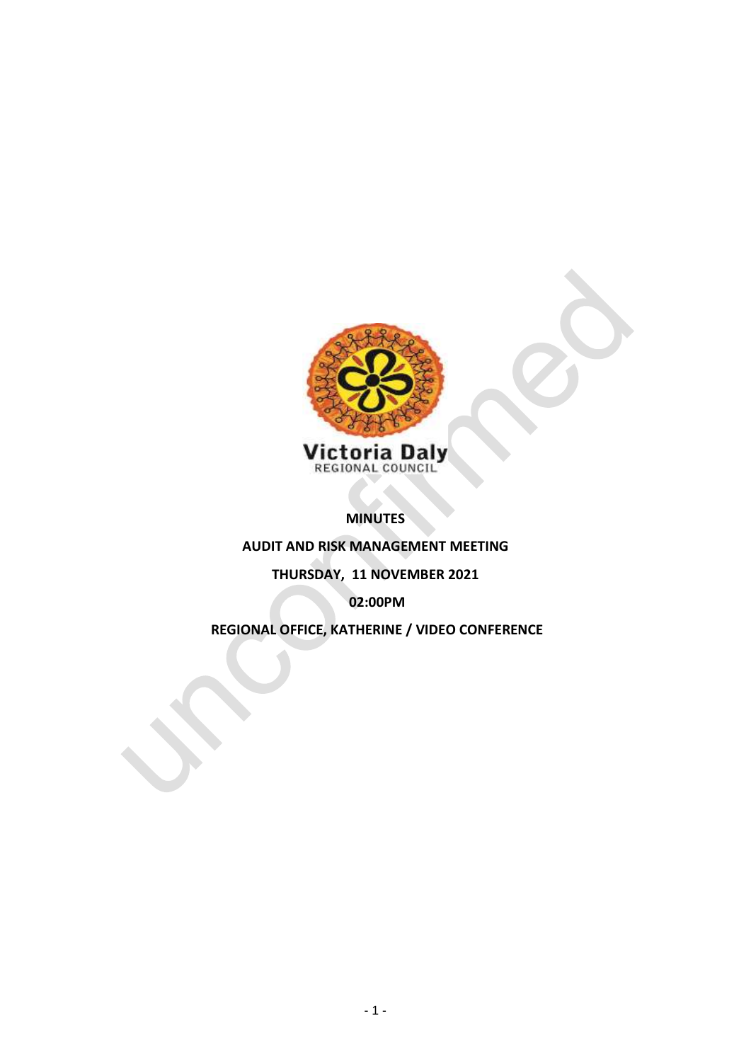

**MINUTES** 

**AUDIT AND RISK MANAGEMENT MEETING**

# **THURSDAY, 11 NOVEMBER 2021**

**02:00PM**

**REGIONAL OFFICE, KATHERINE / VIDEO CONFERENCE**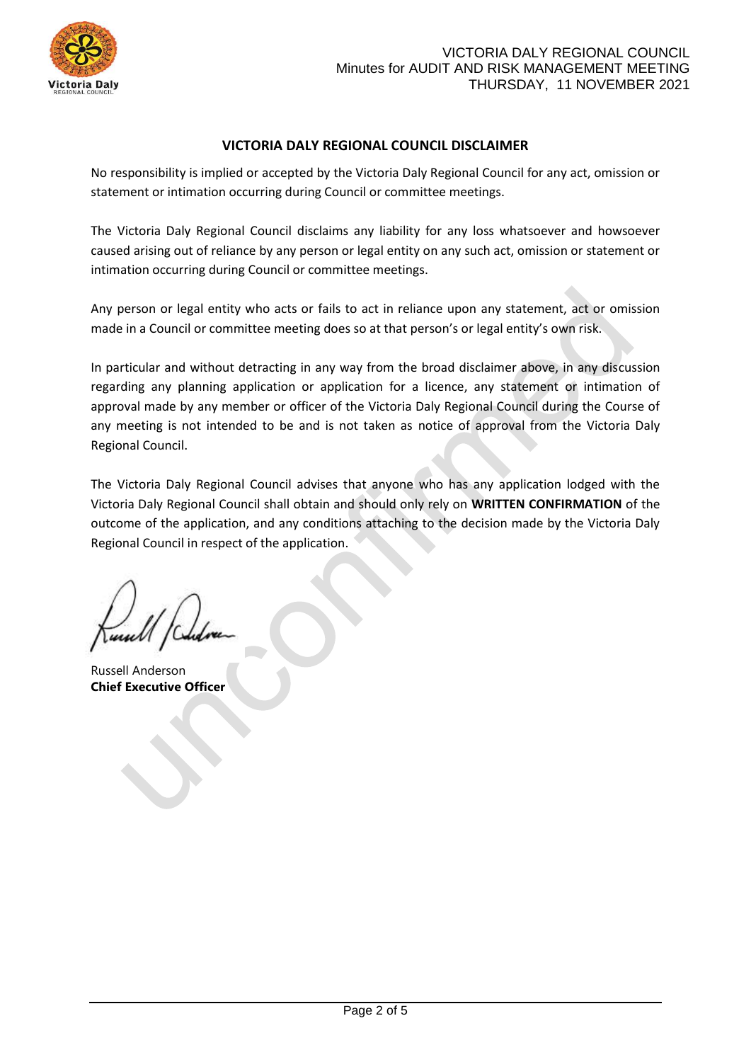

## **VICTORIA DALY REGIONAL COUNCIL DISCLAIMER**

No responsibility is implied or accepted by the Victoria Daly Regional Council for any act, omission or statement or intimation occurring during Council or committee meetings.

The Victoria Daly Regional Council disclaims any liability for any loss whatsoever and howsoever caused arising out of reliance by any person or legal entity on any such act, omission or statement or intimation occurring during Council or committee meetings.

Any person or legal entity who acts or fails to act in reliance upon any statement, act or omission made in a Council or committee meeting does so at that person's or legal entity's own risk.

In particular and without detracting in any way from the broad disclaimer above, in any discussion regarding any planning application or application for a licence, any statement or intimation of approval made by any member or officer of the Victoria Daly Regional Council during the Course of any meeting is not intended to be and is not taken as notice of approval from the Victoria Daly Regional Council.

The Victoria Daly Regional Council advises that anyone who has any application lodged with the Victoria Daly Regional Council shall obtain and should only rely on **WRITTEN CONFIRMATION** of the outcome of the application, and any conditions attaching to the decision made by the Victoria Daly Regional Council in respect of the application.

Russell Anderson **Chief Executive Officer**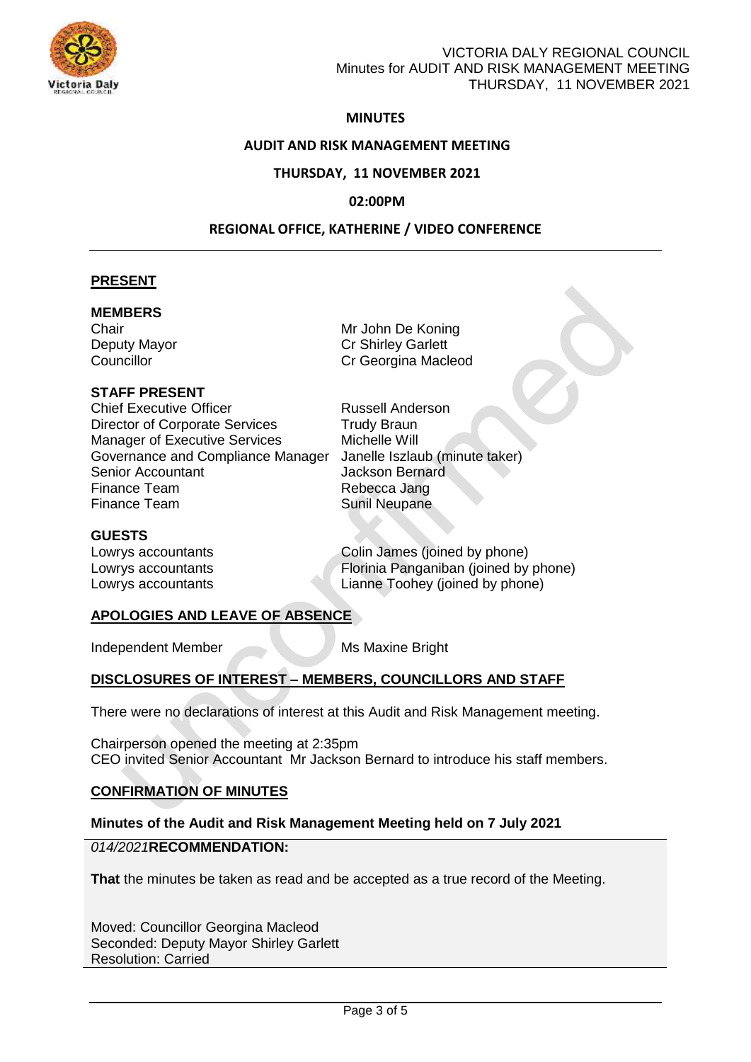

## VICTORIA DALY REGIONAL COUNCIL Minutes for AUDIT AND RISK MANAGEMENT MEETING THURSDAY, 11 NOVEMBER 2021

## **MINUTES**

#### **AUDIT AND RISK MANAGEMENT MEETING**

#### **THURSDAY, 11 NOVEMBER 2021**

#### **02:00PM**

#### **REGIONAL OFFICE, KATHERINE / VIDEO CONFERENCE**

#### **PRESENT**

#### **MEMBERS**

## **STAFF PRESENT**

**Chief Executive Officer Chief Executive Officer Russell Anderson** Director of Corporate Services Trudy Braun Manager of Executive Services Michelle Will Governance and Compliance Manager Janelle Iszlaub (minute taker) Senior Accountant **Senior Accountant** Jackson Bernard Finance Team **Rebecca Jang**<br>
Finance Team **Rebecca** Sunil Neupane

#### **GUESTS**

Chair Mr John De Koning Deputy Mayor Cr Shirley Garlett<br>
Councillor Councillor Councillor Cr Georgina Macleod

Sunil Neupane

Lowrys accountants Colin James (joined by phone) Lowrys accountants **Florinia Panganiban** (joined by phone) Lowrys accountants Lianne Toohey (joined by phone)

### **APOLOGIES AND LEAVE OF ABSENCE**

Independent Member Maxine Bright

### **DISCLOSURES OF INTEREST – MEMBERS, COUNCILLORS AND STAFF**

There were no declarations of interest at this Audit and Risk Management meeting.

Chairperson opened the meeting at 2:35pm CEO invited Senior Accountant Mr Jackson Bernard to introduce his staff members.

### **CONFIRMATION OF MINUTES**

### **Minutes of the Audit and Risk Management Meeting held on 7 July 2021**

#### *014/2021***RECOMMENDATION:**

**That** the minutes be taken as read and be accepted as a true record of the Meeting.

Moved: Councillor Georgina Macleod Seconded: Deputy Mayor Shirley Garlett Resolution: Carried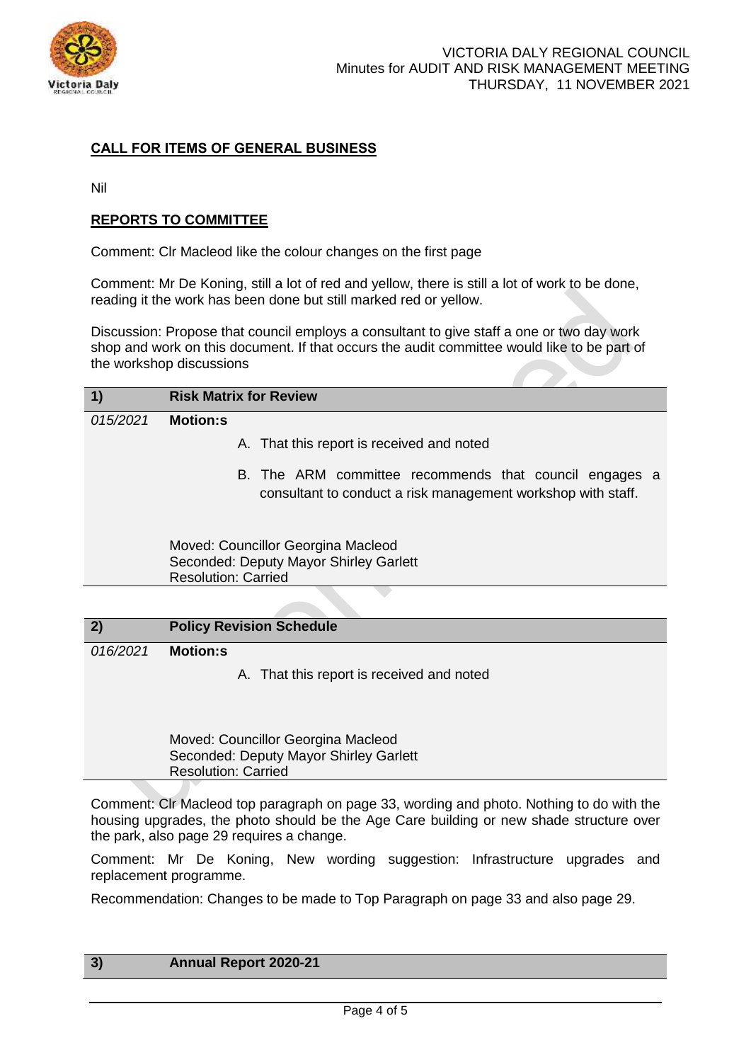

## **CALL FOR ITEMS OF GENERAL BUSINESS**

Nil

## **REPORTS TO COMMITTEE**

Comment: Clr Macleod like the colour changes on the first page

Comment: Mr De Koning, still a lot of red and yellow, there is still a lot of work to be done, reading it the work has been done but still marked red or yellow.

Discussion: Propose that council employs a consultant to give staff a one or two day work shop and work on this document. If that occurs the audit committee would like to be part of the workshop discussions

| $\vert$ 1) | <b>Risk Matrix for Review</b>                                                                                          |
|------------|------------------------------------------------------------------------------------------------------------------------|
| 015/2021   | <b>Motion:s</b>                                                                                                        |
|            | A. That this report is received and noted                                                                              |
|            | B. The ARM committee recommends that council engages a<br>consultant to conduct a risk management workshop with staff. |
|            | Moved: Councillor Georgina Macleod<br>Seconded: Deputy Mayor Shirley Garlett<br><b>Resolution: Carried</b>             |
|            |                                                                                                                        |

### **2) Policy Revision Schedule**

*016/2021* **Motion:s**

A. That this report is received and noted

Moved: Councillor Georgina Macleod Seconded: Deputy Mayor Shirley Garlett Resolution: Carried

Comment: Clr Macleod top paragraph on page 33, wording and photo. Nothing to do with the housing upgrades, the photo should be the Age Care building or new shade structure over the park, also page 29 requires a change.

Comment: Mr De Koning, New wording suggestion: Infrastructure upgrades and replacement programme.

Recommendation: Changes to be made to Top Paragraph on page 33 and also page 29.

## **3) Annual Report 2020-21**